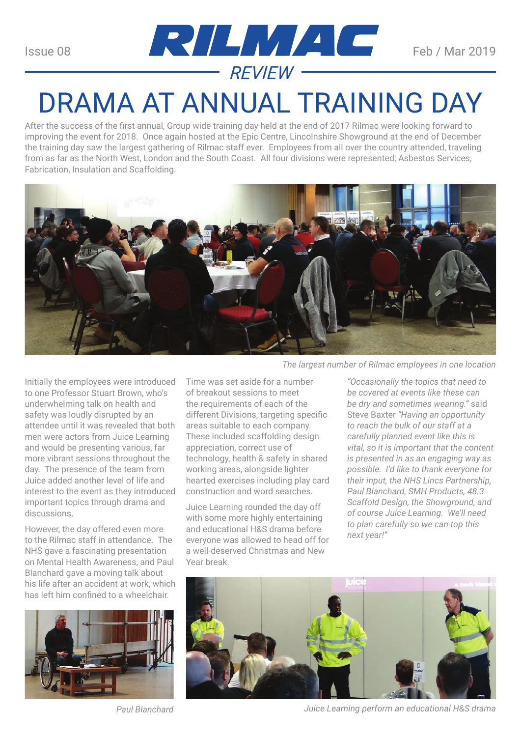

## DRAMA AT ANNUAL TRAINING DAY

After the success of the first annual, Group wide training day held at the end of 2017 Rilmac were looking forward to improving the event for 2018. Once again hosted at the Epic Centre, Lincolnshire Showground at the end of December the training day saw the largest gathering of Rilmac staff ever. Employees from all over the country attended, traveling from as far as the North West, London and the South Coast. All four divisions were represented; Asbestos Services, Fabrication, Insulation and Scaffolding.



Initially the employees were introduced to one Professor Stuart Brown, who's underwhelming talk on health and safety was loudly disrupted by an attendee until it was revealed that both men were actors from Juice Learning and would be presenting various, far more vibrant sessions throughout the day. The presence of the team from Juice added another level of life and interest to the event as they introduced important topics through drama and discussions.

However, the day offered even more to the Rilmac staff in attendance. The NHS gave a fascinating presentation on Mental Health Awareness, and Paul Blanchard gave a moving talk about his life after an accident at work, which has left him confined to a wheelchair.



*The largest number of Rilmac employees in one location*

Time was set aside for a number of breakout sessions to meet the requirements of each of the different Divisions, targeting specific areas suitable to each company. These included scaffolding design appreciation, correct use of technology, health & safety in shared working areas, alongside lighter hearted exercises including play card construction and word searches.

Juice Learning rounded the day off with some more highly entertaining and educational H&S drama before everyone was allowed to head off for a well-deserved Christmas and New Year break.

*"Occasionally the topics that need to be covered at events like these can be dry and sometimes wearing."* said Steve Baxter *"Having an opportunity to reach the bulk of our staff at a carefully planned event like this is vital, so it is important that the content is presented in as an engaging way as possible. I'd like to thank everyone for their input, the NHS Lincs Partnership, Paul Blanchard, SMH Products, 48.3 Scaffold Design, the Showground, and of course Juice Learning. We'll need to plan carefully so we can top this next year!"*



*Paul Blanchard Juice Learning perform an educational H&S drama*